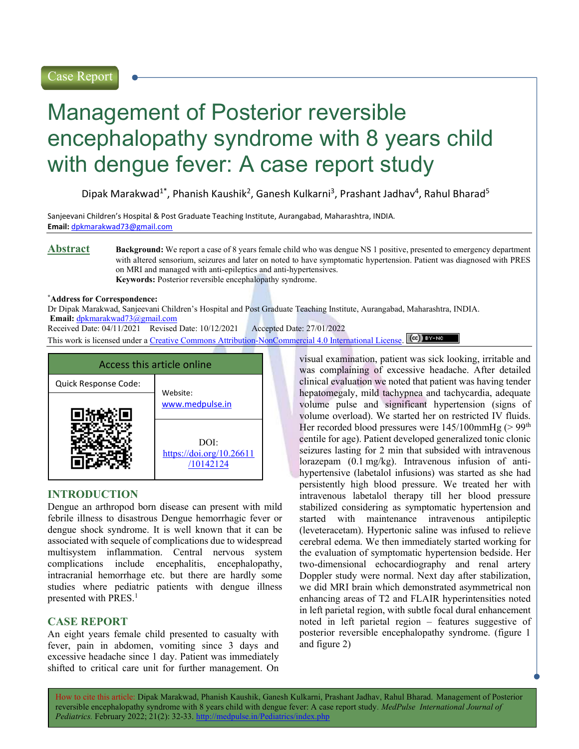# Management of Posterior reversible encephalopathy syndrome with 8 years child with dengue fever: A case report study

Dipak Marakwad<sup>1\*</sup>, Phanish Kaushik<sup>2</sup>, Ganesh Kulkarni<sup>3</sup>, Prashant Jadhav<sup>4</sup>, Rahul Bharad<sup>5</sup>

Sanjeevani Children's Hospital & Post Graduate Teaching Institute, Aurangabad, Maharashtra, INDIA. Email: dpkmarakwad73@gmail.com

Abstract Background: We report a case of 8 years female child who was dengue NS 1 positive, presented to emergency department with altered sensorium, seizures and later on noted to have symptomatic hypertension. Patient was diagnosed with PRES on MRI and managed with anti-epileptics and anti-hypertensives. Keywords: Posterior reversible encephalopathy syndrome.

#### \*Address for Correspondence:

Dr Dipak Marakwad, Sanjeevani Children's Hospital and Post Graduate Teaching Institute, Aurangabad, Maharashtra, INDIA. Email: dpkmarakwad73@gmail.com

Received Date: 04/11/2021 Revised Date: 10/12/2021 Accepted Date: 27/01/2022

This work is licensed under a Creative Commons Attribution-NonCommercial 4.0 International License. (cc) BY-NO



# INTRODUCTION

Dengue an arthropod born disease can present with mild febrile illness to disastrous Dengue hemorrhagic fever or dengue shock syndrome. It is well known that it can be associated with sequele of complications due to widespread multisystem inflammation. Central nervous system complications include encephalitis, encephalopathy, intracranial hemorrhage etc. but there are hardly some studies where pediatric patients with dengue illness presented with PRES.<sup>1</sup>

# CASE REPORT

An eight years female child presented to casualty with fever, pain in abdomen, vomiting since 3 days and excessive headache since 1 day. Patient was immediately shifted to critical care unit for further management. On

visual examination, patient was sick looking, irritable and was complaining of excessive headache. After detailed clinical evaluation we noted that patient was having tender hepatomegaly, mild tachypnea and tachycardia, adequate volume pulse and significant hypertension (signs of volume overload). We started her on restricted IV fluids. Her recorded blood pressures were  $145/100$ mmHg (> 99<sup>th</sup>) centile for age). Patient developed generalized tonic clonic seizures lasting for 2 min that subsided with intravenous lorazepam (0.1 mg/kg). Intravenous infusion of antihypertensive (labetalol infusions) was started as she had persistently high blood pressure. We treated her with intravenous labetalol therapy till her blood pressure stabilized considering as symptomatic hypertension and started with maintenance intravenous antipileptic (leveteracetam). Hypertonic saline was infused to relieve cerebral edema. We then immediately started working for the evaluation of symptomatic hypertension bedside. Her two-dimensional echocardiography and renal artery Doppler study were normal. Next day after stabilization, we did MRI brain which demonstrated asymmetrical non enhancing areas of T2 and FLAIR hyperintensities noted in left parietal region, with subtle focal dural enhancement noted in left parietal region – features suggestive of posterior reversible encephalopathy syndrome. (figure 1 and figure 2)

How to cite this article: Dipak Marakwad, Phanish Kaushik, Ganesh Kulkarni, Prashant Jadhav, Rahul Bharad. Management of Posterior reversible encephalopathy syndrome with 8 years child with dengue fever: A case report study. MedPulse International Journal of Pediatrics. February 2022; 21(2): 32-33. http://